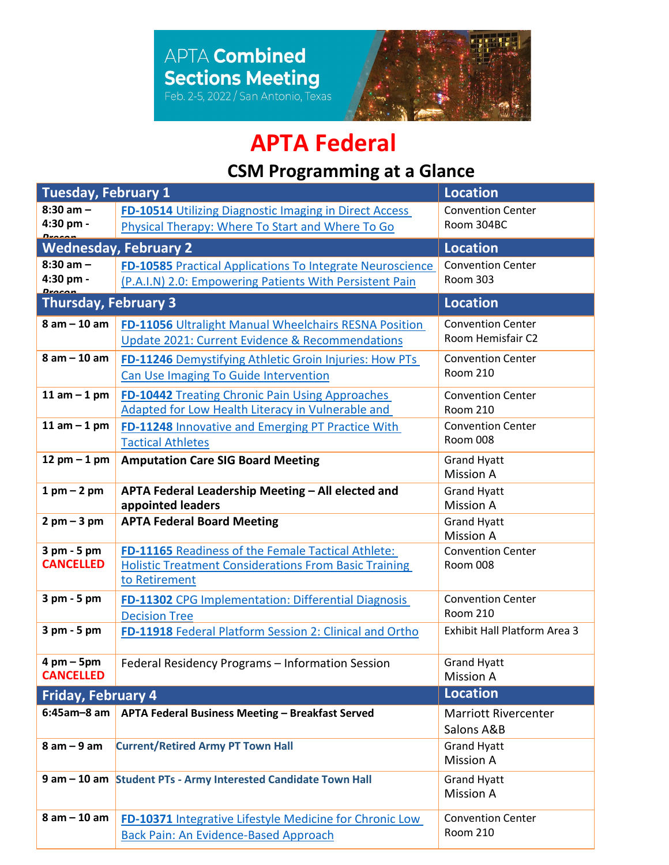

## **APTA Federal**

## **CSM Programming at a Glance**

| <b>Tuesday, February 1</b>         |                                                                        | <b>Location</b>                        |  |
|------------------------------------|------------------------------------------------------------------------|----------------------------------------|--|
| $8:30$ am $-$                      | FD-10514 Utilizing Diagnostic Imaging in Direct Access                 | <b>Convention Center</b>               |  |
| 4:30 pm -<br><u>Dessan</u>         | Physical Therapy: Where To Start and Where To Go                       | Room 304BC                             |  |
|                                    | <b>Wednesday, February 2</b>                                           | <b>Location</b>                        |  |
| $8:30$ am $-$                      | FD-10585 Practical Applications To Integrate Neuroscience              | <b>Convention Center</b>               |  |
| 4:30 pm -<br><b>Drocon</b>         | (P.A.I.N) 2.0: Empowering Patients With Persistent Pain                | <b>Room 303</b>                        |  |
| <b>Thursday, February 3</b>        |                                                                        | <b>Location</b>                        |  |
| $8$ am $-$ 10 am                   | FD-11056 Ultralight Manual Wheelchairs RESNA Position                  | <b>Convention Center</b>               |  |
|                                    | Update 2021: Current Evidence & Recommendations                        | Room Hemisfair C2                      |  |
| $8$ am $-$ 10 am                   | FD-11246 Demystifying Athletic Groin Injuries: How PTs                 | <b>Convention Center</b>               |  |
|                                    | Can Use Imaging To Guide Intervention                                  | <b>Room 210</b>                        |  |
| 11 am $-$ 1 pm                     | FD-10442 Treating Chronic Pain Using Approaches                        | <b>Convention Center</b>               |  |
|                                    | Adapted for Low Health Literacy in Vulnerable and                      | <b>Room 210</b>                        |  |
| 11 am $-$ 1 pm                     | FD-11248 Innovative and Emerging PT Practice With                      | <b>Convention Center</b>               |  |
|                                    | <b>Tactical Athletes</b>                                               | Room 008                               |  |
| 12 pm $-$ 1 pm                     | <b>Amputation Care SIG Board Meeting</b>                               | <b>Grand Hyatt</b>                     |  |
| $1$ pm $-$ 2 pm                    |                                                                        | <b>Mission A</b>                       |  |
|                                    | APTA Federal Leadership Meeting - All elected and<br>appointed leaders | <b>Grand Hyatt</b><br><b>Mission A</b> |  |
| $2$ pm $-3$ pm                     | <b>APTA Federal Board Meeting</b>                                      | <b>Grand Hyatt</b><br><b>Mission A</b> |  |
| $3$ pm $-5$ pm<br><b>CANCELLED</b> | FD-11165 Readiness of the Female Tactical Athlete:                     | <b>Convention Center</b>               |  |
|                                    | <b>Holistic Treatment Considerations From Basic Training</b>           | Room 008                               |  |
|                                    | to Retirement                                                          |                                        |  |
| 3 pm - 5 pm                        | FD-11302 CPG Implementation: Differential Diagnosis                    | <b>Convention Center</b>               |  |
|                                    | <b>Decision Tree</b>                                                   | <b>Room 210</b>                        |  |
| 3 pm - 5 pm                        | FD-11918 Federal Platform Session 2: Clinical and Ortho                | Exhibit Hall Platform Area 3           |  |
| $4 \text{ pm} - 5 \text{pm}$       | Federal Residency Programs - Information Session                       | <b>Grand Hyatt</b>                     |  |
| <b>CANCELLED</b>                   |                                                                        | <b>Mission A</b>                       |  |
| <b>Friday, February 4</b>          |                                                                        | <b>Location</b>                        |  |
| $6:45am-8$ am                      | APTA Federal Business Meeting - Breakfast Served                       | <b>Marriott Rivercenter</b>            |  |
|                                    |                                                                        | Salons A&B                             |  |
| $8 am - 9 am$                      | <b>Current/Retired Army PT Town Hall</b>                               | <b>Grand Hyatt</b>                     |  |
|                                    |                                                                        | <b>Mission A</b>                       |  |
|                                    | 9 am - 10 am Student PTs - Army Interested Candidate Town Hall         | <b>Grand Hyatt</b>                     |  |
|                                    |                                                                        | <b>Mission A</b>                       |  |
| $8$ am $-$ 10 am                   | FD-10371 Integrative Lifestyle Medicine for Chronic Low                | <b>Convention Center</b>               |  |
|                                    | <b>Back Pain: An Evidence-Based Approach</b>                           | <b>Room 210</b>                        |  |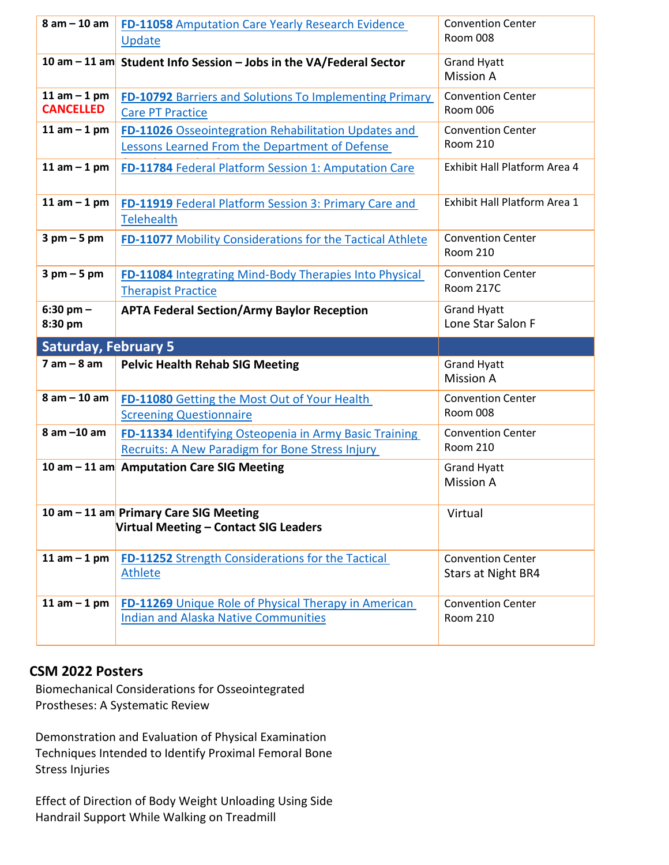| $8$ am $-$ 10 am                   | <b>FD-11058</b> Amputation Care Yearly Research Evidence<br>Update                                               | <b>Convention Center</b><br>Room 008           |
|------------------------------------|------------------------------------------------------------------------------------------------------------------|------------------------------------------------|
|                                    | 10 am - 11 am Student Info Session - Jobs in the VA/Federal Sector                                               | <b>Grand Hyatt</b><br><b>Mission A</b>         |
| 11 am $-$ 1 pm<br><b>CANCELLED</b> | <b>FD-10792 Barriers and Solutions To Implementing Primary</b><br><b>Care PT Practice</b>                        | <b>Convention Center</b><br><b>Room 006</b>    |
| 11 am $-$ 1 pm                     | FD-11026 Osseointegration Rehabilitation Updates and<br>Lessons Learned From the Department of Defense           | <b>Convention Center</b><br><b>Room 210</b>    |
| 11 am $-$ 1 pm                     | FD-11784 Federal Platform Session 1: Amputation Care                                                             | Exhibit Hall Platform Area 4                   |
| 11 am $-$ 1 pm                     | FD-11919 Federal Platform Session 3: Primary Care and<br><b>Telehealth</b>                                       | Exhibit Hall Platform Area 1                   |
| $3$ pm $-5$ pm                     | FD-11077 Mobility Considerations for the Tactical Athlete                                                        | <b>Convention Center</b><br><b>Room 210</b>    |
| $3$ pm $-5$ pm                     | FD-11084 Integrating Mind-Body Therapies Into Physical<br><b>Therapist Practice</b>                              | <b>Convention Center</b><br>Room 217C          |
| $6:30$ pm $-$<br>8:30 pm           | <b>APTA Federal Section/Army Baylor Reception</b>                                                                | <b>Grand Hyatt</b><br>Lone Star Salon F        |
|                                    |                                                                                                                  |                                                |
| <b>Saturday, February 5</b>        |                                                                                                                  |                                                |
| $7$ am $-$ 8 am                    | <b>Pelvic Health Rehab SIG Meeting</b>                                                                           | <b>Grand Hyatt</b><br><b>Mission A</b>         |
| $8 am - 10 am$                     | FD-11080 Getting the Most Out of Your Health<br><b>Screening Questionnaire</b>                                   | <b>Convention Center</b><br>Room 008           |
| $8$ am $-10$ am                    | FD-11334 Identifying Osteopenia in Army Basic Training<br><b>Recruits: A New Paradigm for Bone Stress Injury</b> | <b>Convention Center</b><br><b>Room 210</b>    |
|                                    | 10 am - 11 am Amputation Care SIG Meeting                                                                        | <b>Grand Hyatt</b><br><b>Mission A</b>         |
|                                    | 10 am - 11 am Primary Care SIG Meeting<br>Virtual Meeting - Contact SIG Leaders                                  | Virtual                                        |
| 11 am $-$ 1 pm                     | FD-11252 Strength Considerations for the Tactical<br><b>Athlete</b>                                              | <b>Convention Center</b><br>Stars at Night BR4 |

## **CSM 2022 Posters**

Biomechanical Considerations for Osseointegrated Prostheses: A Systematic Review

Demonstration and Evaluation of Physical Examination Techniques Intended to Identify Proximal Femoral Bone Stress Injuries

Effect of Direction of Body Weight Unloading Using Side Handrail Support While Walking on Treadmill